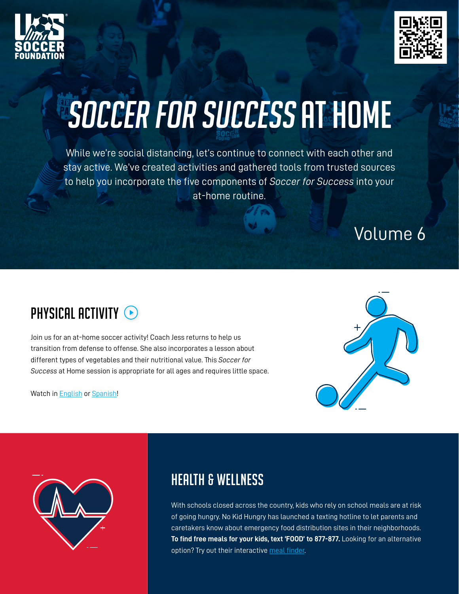



# SOCCER FOR SUCCESS AT HOME

While we're social distancing, let's continue to connect with each other and stay active. We've created activities and gathered tools from trusted sources to help you incorporate the five components of *Soccer for Success* into your at-home routine.

## Volume 6



Join us for an at-home soccer activity! Coach Jess returns to help us transition from defense to offense. She also incorporates a lesson about different types of vegetables and their nutritional value. This *Soccer for Success* at Home session is appropriate for all ages and requires little space.

Watch in [English](https://www.youtube.com/watch?v=EWYDXgNypkY) or [Spanish!](https://www.youtube.com/watch?v=SbntDnEmeHA)





#### Health & Wellness

With schools closed across the country, kids who rely on school meals are at risk of going hungry. No Kid Hungry has launched a texting hotline to let parents and caretakers know about emergency food distribution sites in their neighborhoods. **To find free meals for your kids, text 'FOOD' to 877-877.** Looking for an alternative option? Try out their interactive [meal finder](https://www.nokidhungry.org/find-free-meals).